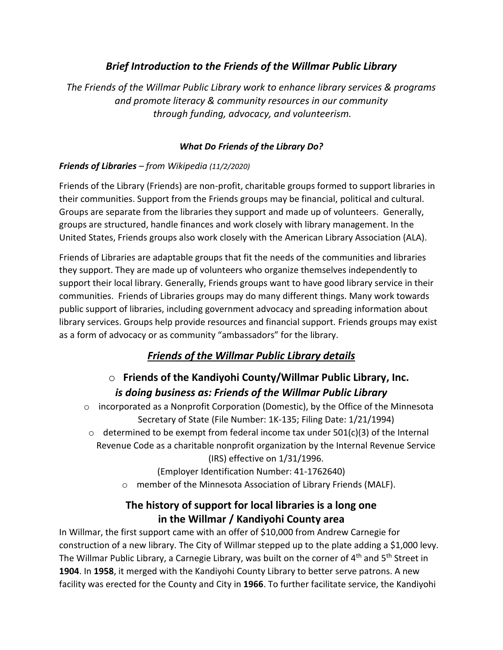### *Brief Introduction to the Friends of the Willmar Public Library*

*The Friends of the Willmar Public Library work to enhance library services & programs and promote literacy & community resources in our community through funding, advocacy, and volunteerism.*

#### *What Do Friends of the Library Do?*

### *Friends of Libraries – from Wikipedia (11/2/2020)*

Friends of the Library (Friends) are non-profit, charitable groups formed to support libraries in their communities. Support from the Friends groups may be financial, political and cultural. Groups are separate from the libraries they support and made up of volunteers. Generally, groups are structured, handle finances and work closely with library management. In the United States, Friends groups also work closely with the American Library Association (ALA).

Friends of Libraries are adaptable groups that fit the needs of the communities and libraries they support. They are made up of volunteers who organize themselves independently to support their local library. Generally, Friends groups want to have good library service in their communities. Friends of Libraries groups may do many different things. Many work towards public support of libraries, including government advocacy and spreading information about library services. Groups help provide resources and financial support. Friends groups may exist as a form of advocacy or as community "ambassadors" for the library.

# *Friends of the Willmar Public Library details*

# o **Friends of the Kandiyohi County/Willmar Public Library, Inc.** *is doing business as: Friends of the Willmar Public Library*

- $\circ$  incorporated as a Nonprofit Corporation (Domestic), by the Office of the Minnesota Secretary of State (File Number: 1K-135; Filing Date: 1/21/1994)
- $\circ$  determined to be exempt from federal income tax under 501(c)(3) of the Internal Revenue Code as a charitable nonprofit organization by the Internal Revenue Service (IRS) effective on 1/31/1996.

(Employer Identification Number: 41-1762640)

o member of the Minnesota Association of Library Friends (MALF).

### **The history of support for local libraries is a long one in the Willmar / Kandiyohi County area**

In Willmar, the first support came with an offer of \$10,000 from Andrew Carnegie for construction of a new library. The City of Willmar stepped up to the plate adding a \$1,000 levy. The Willmar Public Library, a Carnegie Library, was built on the corner of 4<sup>th</sup> and 5<sup>th</sup> Street in **1904**. In **1958**, it merged with the Kandiyohi County Library to better serve patrons. A new facility was erected for the County and City in **1966**. To further facilitate service, the Kandiyohi